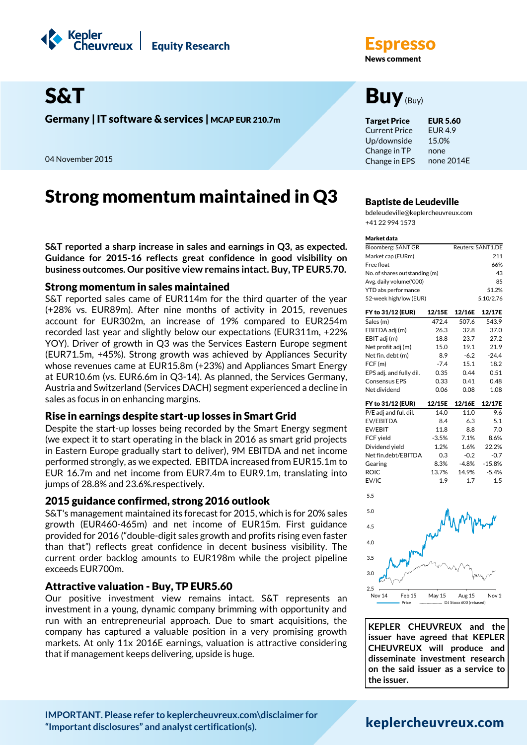

# Germany | IT software & services | MCAP EUR 210.7m Target Price EUR 5.60

04 November 2015

# Strong momentum maintained in  $Q3$  Baptiste de Leudeville

**S&T reported a sharp increase in sales and earnings in Q3, as expected. Guidance for 2015-16 reflects great confidence in good visibility on business outcomes. Our positive view remains intact. Buy, TP EUR5.70.**

## Strong momentum in sales maintained

S&T reported sales came of EUR114m for the third quarter of the year (+28% vs. EUR89m). After nine months of activity in 2015, revenues account for EUR302m, an increase of 19% compared to EUR254m recorded last year and slightly below our expectations (EUR311m, +22% YOY). Driver of growth in Q3 was the Services Eastern Europe segment (EUR71.5m, +45%). Strong growth was achieved by Appliances Security whose revenues came at EUR15.8m (+23%) and Appliances Smart Energy at EUR10.6m (vs. EUR6.6m in Q3-14). As planned, the Services Germany, Austria and Switzerland (Services DACH) segment experienced a decline in sales as focus in on enhancing margins.

## Rise in earnings despite start-up losses in Smart Grid

Despite the start-up losses being recorded by the Smart Energy segment (we expect it to start operating in the black in 2016 as smart grid projects in Eastern Europe gradually start to deliver), 9M EBITDA and net income performed strongly, as we expected. EBITDA increased from EUR15.1m to EUR 16.7m and net income from EUR7.4m to EUR9.1m, translating into jumps of 28.8% and 23.6%.respectively.

# 2015 guidance confirmed, strong 2016 outlook

S&T's management maintained its forecast for 2015, which is for 20% sales growth (EUR460-465m) and net income of EUR15m. First guidance provided for 2016 ("double-digit sales growth and profits rising even faster than that") reflects great confidence in decent business visibility. The current order backlog amounts to EUR198m while the project pipeline exceeds EUR700m.

# Attractive valuation - Buy, TP EUR5.60

Our positive investment view remains intact. S&T represents an investment in a young, dynamic company brimming with opportunity and run with an entrepreneurial approach. Due to smart acquisitions, the company has captured a valuable position in a very promising growth markets. At only 11x 2016E earnings, valuation is attractive considering that if management keeps delivering, upside is huge.

**News comment** 

# S&T Buy<sub>(Buy)</sub>

Current Price Up/downside Change in TP Change in EPS

EUR 4.9 15.0% none none 2014E

bdeleudeville@keplercheuvreux.com +41 22 994 1573

#### Market data

| Reuters: SANT1.DE |
|-------------------|
| 211               |
| 66%               |
| 43                |
| 85                |
| 51.2%             |
| 5.10/2.76         |
|                   |

| FY to 31/12 (EUR)       | 12/15E  | 12/16E | 12/17E   |
|-------------------------|---------|--------|----------|
| Sales (m)               | 472.4   | 507.6  | 543.9    |
| EBITDA adj (m)          | 26.3    | 32.8   | 37.0     |
| EBIT adj (m)            | 18.8    | 23.7   | 27.2     |
| Net profit adj (m)      | 15.0    | 19.1   | 21.9     |
| Net fin. debt (m)       | 8.9     | $-6.2$ | $-24.4$  |
| FCF(m)                  | $-7.4$  | 15.1   | 18.2     |
| EPS adj. and fully dil. | 0.35    | 0.44   | 0.51     |
| <b>Consensus EPS</b>    | 0.33    | 0.41   | 0.48     |
| Net dividend            | 0.06    | 0.08   | 1.08     |
| FY to 31/12 (EUR)       | 12/15E  | 12/16E | 12/17E   |
| P/E adj and ful. dil.   | 14.0    | 11.0   | 9.6      |
| EV/EBITDA               | 8.4     | 6.3    | 5.1      |
| EV/EBIT                 | 11.8    | 8.8    | 7.0      |
| FCF yield               | $-3.5%$ | 7.1%   | 8.6%     |
| Dividend yield          | 1.2%    | 1.6%   | 22.2%    |
| Net fin.debt/EBITDA     | 0.3     | $-0.2$ | $-0.7$   |
| Gearing                 |         |        |          |
|                         | 8.3%    | -4.8%  | $-15.8%$ |
| <b>ROIC</b>             | 13.7%   | 14.9%  | $-5.4%$  |
| EV/IC                   | 1.9     | 1.7    | 1.5      |



**KEPLER CHEUVREUX and the issuer have agreed that KEPLER CHEUVREUX will produce and disseminate investment research on the said issuer as a service to the issuer.**

j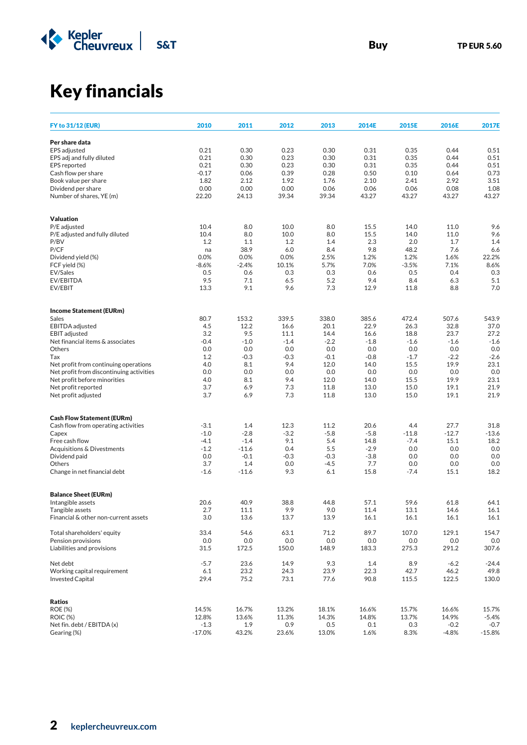

# Key financials

| <b>FY to 31/12 (EUR)</b>                               | 2010            | 2011           | 2012           | 2013           | 2014E          | 2015E          | 2016E          | 2017E            |
|--------------------------------------------------------|-----------------|----------------|----------------|----------------|----------------|----------------|----------------|------------------|
| Per share data                                         |                 |                |                |                |                |                |                |                  |
| <b>EPS</b> adjusted                                    | 0.21            | 0.30           | 0.23           | 0.30           | 0.31           | 0.35           | 0.44           | 0.51             |
| EPS adj and fully diluted                              | 0.21            | 0.30           | 0.23           | 0.30           | 0.31           | 0.35           | 0.44           | 0.51             |
| <b>EPS</b> reported                                    | 0.21            | 0.30           | 0.23           | 0.30           | 0.31           | 0.35           | 0.44           | 0.51             |
| Cash flow per share<br>Book value per share            | $-0.17$<br>1.82 | 0.06<br>2.12   | 0.39<br>1.92   | 0.28<br>1.76   | 0.50<br>2.10   | 0.10<br>2.41   | 0.64<br>2.92   | 0.73<br>3.51     |
| Dividend per share                                     | 0.00            | 0.00           | 0.00           | 0.06           | 0.06           | 0.06           | 0.08           | 1.08             |
| Number of shares, YE (m)                               | 22.20           | 24.13          | 39.34          | 39.34          | 43.27          | 43.27          | 43.27          | 43.27            |
| Valuation                                              |                 |                |                |                |                |                |                |                  |
| P/E adjusted                                           | 10.4            | 8.0            | 10.0           | 8.0            | 15.5           | 14.0           | 11.0           | 9.6              |
| P/E adjusted and fully diluted                         | 10.4            | 8.0            | 10.0           | 8.0            | 15.5           | 14.0           | 11.0           | 9.6              |
| P/BV                                                   | 1.2             | 1.1            | 1.2            | 1.4            | 2.3            | 2.0            | 1.7            | 1.4              |
| P/CF                                                   | na              | 38.9           | 6.0            | 8.4            | 9.8            | 48.2           | 7.6            | 6.6              |
| Dividend yield (%)                                     | 0.0%            | 0.0%           | 0.0%           | 2.5%           | 1.2%           | 1.2%           | 1.6%           | 22.2%            |
| FCF yield (%)                                          | $-8.6%$         | $-2.4%$        | 10.1%          | 5.7%           | 7.0%           | $-3.5%$        | 7.1%           | 8.6%             |
| EV/Sales                                               | 0.5             | 0.6            | 0.3            | 0.3            | 0.6            | 0.5            | 0.4            | 0.3              |
| EV/EBITDA<br>EV/EBIT                                   | 9.5<br>13.3     | 7.1<br>9.1     | 6.5<br>9.6     | 5.2<br>7.3     | 9.4<br>12.9    | 8.4<br>11.8    | 6.3<br>8.8     | 5.1<br>7.0       |
|                                                        |                 |                |                |                |                |                |                |                  |
| <b>Income Statement (EURm)</b><br>Sales                | 80.7            | 153.2          | 339.5          | 338.0          | 385.6          | 472.4          | 507.6          | 543.9            |
| EBITDA adjusted                                        | 4.5             | 12.2           | 16.6           | 20.1           | 22.9           | 26.3           | 32.8           | 37.0             |
| <b>EBIT</b> adjusted                                   | 3.2             | 9.5            | 11.1           | 14.4           | 16.6           | 18.8           | 23.7           | 27.2             |
| Net financial items & associates                       | $-0.4$          | $-1.0$         | $-1.4$         | $-2.2$         | $-1.8$         | $-1.6$         | $-1.6$         | $-1.6$           |
| Others                                                 | 0.0             | 0.0            | 0.0            | 0.0            | 0.0            | 0.0            | 0.0            | 0.0              |
| Tax                                                    | 1.2             | $-0.3$         | $-0.3$         | $-0.1$         | $-0.8$         | $-1.7$         | $-2.2$         | $-2.6$           |
| Net profit from continuing operations                  | 4.0             | 8.1            | 9.4            | 12.0           | 14.0           | 15.5           | 19.9           | 23.1             |
| Net profit from discontinuing activities               | 0.0             | 0.0            | 0.0            | 0.0            | 0.0            | 0.0            | 0.0            | 0.0              |
| Net profit before minorities<br>Net profit reported    | 4.0<br>3.7      | 8.1<br>6.9     | 9.4<br>7.3     | 12.0<br>11.8   | 14.0<br>13.0   | 15.5<br>15.0   | 19.9<br>19.1   | 23.1<br>21.9     |
| Net profit adjusted                                    | 3.7             | 6.9            | 7.3            | 11.8           | 13.0           | 15.0           | 19.1           | 21.9             |
| <b>Cash Flow Statement (EURm)</b>                      |                 |                |                |                |                |                |                |                  |
| Cash flow from operating activities                    | $-3.1$          | 1.4            | 12.3           | 11.2           | 20.6           | 4.4            | 27.7           | 31.8             |
| Capex                                                  | $-1.0$          | $-2.8$         | $-3.2$         | $-5.8$         | $-5.8$         | $-11.8$        | $-12.7$        | $-13.6$          |
| Free cash flow                                         | $-4.1$          | $-1.4$         | 9.1            | 5.4            | 14.8           | $-7.4$         | 15.1           | 18.2             |
| Acquisitions & Divestments                             | $-1.2$          | $-11.6$        | 0.4            | 5.5            | $-2.9$         | 0.0            | 0.0            | 0.0              |
| Dividend paid                                          | 0.0             | $-0.1$         | $-0.3$         | $-0.3$         | $-3.8$         | 0.0            | 0.0            | 0.0              |
| Others                                                 | 3.7             | 1.4            | 0.0            | $-4.5$         | 7.7            | 0.0            | 0.0            | 0.0              |
| Change in net financial debt                           | $-1.6$          | $-11.6$        | 9.3            | 6.1            | 15.8           | $-7.4$         | 15.1           | 18.2             |
| <b>Balance Sheet (EURm)</b>                            |                 |                |                |                |                |                |                |                  |
| Intangible assets                                      | 20.6            | 40.9           | 38.8           | 44.8           | 57.1           | 59.6           | 61.8           | 64.1             |
| Tangible assets                                        | 2.7             | 11.1           | 9.9            | 9.0            | 11.4           | 13.1           | 14.6           | 16.1             |
| Financial & other non-current assets                   | 3.0             | 13.6           | 13.7           | 13.9           | 16.1           | 16.1           | 16.1           | 16.1             |
| Total shareholders' equity                             | 33.4            | 54.6           | 63.1           | 71.2           | 89.7           | 107.0          | 129.1          | 154.7            |
| Pension provisions                                     | 0.0             | 0.0            | 0.0            | 0.0            | 0.0            | 0.0            | 0.0            | 0.0              |
| Liabilities and provisions                             | 31.5            | 172.5          | 150.0          | 148.9          | 183.3          | 275.3          | 291.2          | 307.6            |
| Net debt                                               | $-5.7$          | 23.6           | 14.9           | 9.3            | 1.4            | 8.9            | $-6.2$         | $-24.4$          |
| Working capital requirement<br><b>Invested Capital</b> | 6.1<br>29.4     | 23.2<br>75.2   | 24.3<br>73.1   | 23.9<br>77.6   | 22.3<br>90.8   | 42.7<br>115.5  | 46.2<br>122.5  | 49.8<br>130.0    |
|                                                        |                 |                |                |                |                |                |                |                  |
| Ratios                                                 |                 |                |                |                |                |                |                |                  |
| <b>ROE (%)</b><br><b>ROIC (%)</b>                      | 14.5%<br>12.8%  | 16.7%<br>13.6% | 13.2%<br>11.3% | 18.1%<br>14.3% | 16.6%<br>14.8% | 15.7%<br>13.7% | 16.6%<br>14.9% | 15.7%<br>$-5.4%$ |
| Net fin. debt / EBITDA (x)                             | $-1.3$          | 1.9            | 0.9            | 0.5            | 0.1            | 0.3            | $-0.2$         | $-0.7$           |
| Gearing (%)                                            | $-17.0%$        | 43.2%          | 23.6%          | 13.0%          | 1.6%           | 8.3%           | $-4.8%$        | $-15.8%$         |